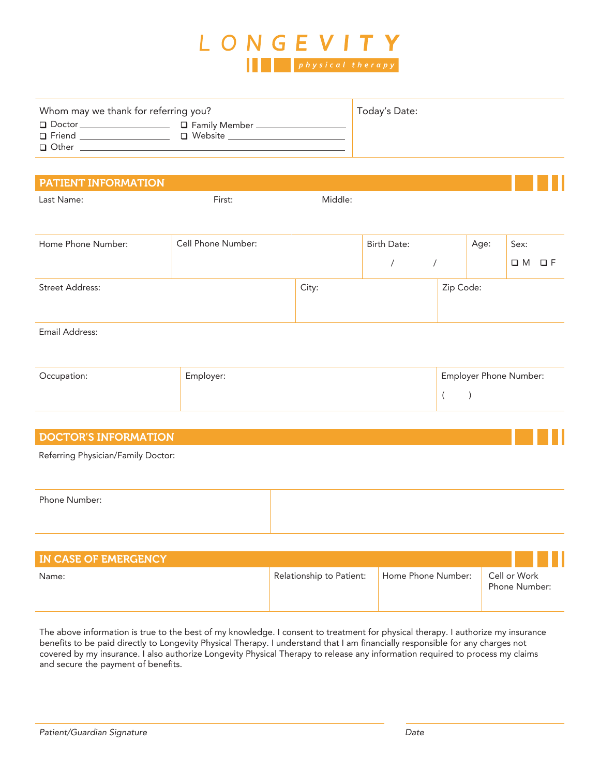

| Whom may we thank for referring you? |                                     | Today's Date: |
|--------------------------------------|-------------------------------------|---------------|
| $\Box$ Doctor<br>□ Friend<br>□ Other | □ Family Member _<br>$\Box$ Website |               |
|                                      |                                     |               |

#### PATIENT INFORMATION

Last Name:

First: Middle:

| Home Phone Number:     | Cell Phone Number: |       | Birth Date: |           | Age: | Sex:        |          |
|------------------------|--------------------|-------|-------------|-----------|------|-------------|----------|
|                        |                    |       |             |           |      | $\square$ M | $\Box F$ |
| <b>Street Address:</b> |                    | City: |             | Zip Code: |      |             |          |

#### Email Address:

| Occupation: | Employer: | <b>Employer Phone Number:</b> |
|-------------|-----------|-------------------------------|
|             |           |                               |

#### DOCTOR'S INFORMATION

Referring Physician/Family Doctor:

| Phone Number: |  |
|---------------|--|
|               |  |
|               |  |
|               |  |
|               |  |

| <b>IN CASE OF EMERGENCY</b> |                          |                    |                               |
|-----------------------------|--------------------------|--------------------|-------------------------------|
| Name:                       | Relationship to Patient: | Home Phone Number: | Cell or Work<br>Phone Number: |

The above information is true to the best of my knowledge. I consent to treatment for physical therapy. I authorize my insurance benefits to be paid directly to Longevity Physical Therapy. I understand that I am financially responsible for any charges not covered by my insurance. I also authorize Longevity Physical Therapy to release any information required to process my claims and secure the payment of benefits.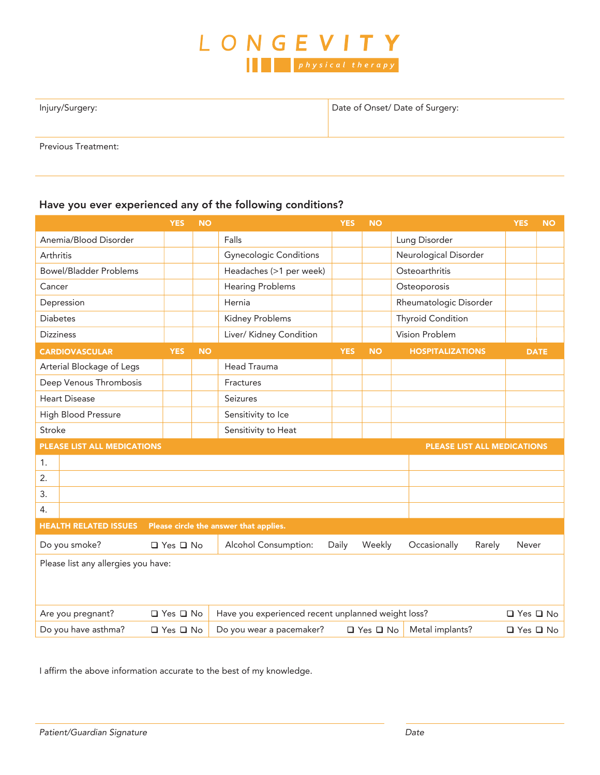

Date of Onset/ Date of Surgery:

Previous Treatment:

#### Have you ever experienced any of the following conditions?

|                                                                        | <b>YES</b>           | <b>NO</b> |                                                                                             | <b>YES</b> | <b>NO</b> |                             | <b>YES</b>           | <b>NO</b>   |
|------------------------------------------------------------------------|----------------------|-----------|---------------------------------------------------------------------------------------------|------------|-----------|-----------------------------|----------------------|-------------|
| Anemia/Blood Disorder                                                  |                      |           | Falls                                                                                       |            |           | Lung Disorder               |                      |             |
| Arthritis                                                              |                      |           | <b>Gynecologic Conditions</b>                                                               |            |           | Neurological Disorder       |                      |             |
| <b>Bowel/Bladder Problems</b>                                          |                      |           | Headaches (>1 per week)                                                                     |            |           | Osteoarthritis              |                      |             |
| Cancer                                                                 |                      |           | <b>Hearing Problems</b>                                                                     |            |           | Osteoporosis                |                      |             |
| Depression                                                             |                      |           | Hernia                                                                                      |            |           | Rheumatologic Disorder      |                      |             |
| <b>Diabetes</b>                                                        |                      |           | Kidney Problems                                                                             |            |           | <b>Thyroid Condition</b>    |                      |             |
| <b>Dizziness</b>                                                       |                      |           | Liver/ Kidney Condition                                                                     |            |           | Vision Problem              |                      |             |
| <b>CARDIOVASCULAR</b>                                                  | <b>YES</b>           | <b>NO</b> |                                                                                             | <b>YES</b> | <b>NO</b> | <b>HOSPITALIZATIONS</b>     |                      | <b>DATE</b> |
| Arterial Blockage of Legs                                              |                      |           | <b>Head Trauma</b>                                                                          |            |           |                             |                      |             |
| Deep Venous Thrombosis                                                 |                      |           | Fractures                                                                                   |            |           |                             |                      |             |
| <b>Heart Disease</b>                                                   |                      |           | Seizures                                                                                    |            |           |                             |                      |             |
| High Blood Pressure                                                    |                      |           | Sensitivity to Ice                                                                          |            |           |                             |                      |             |
| Stroke                                                                 |                      |           | Sensitivity to Heat                                                                         |            |           |                             |                      |             |
| PLEASE LIST ALL MEDICATIONS                                            |                      |           |                                                                                             |            |           | PLEASE LIST ALL MEDICATIONS |                      |             |
| 1.                                                                     |                      |           |                                                                                             |            |           |                             |                      |             |
| 2.                                                                     |                      |           |                                                                                             |            |           |                             |                      |             |
| 3.                                                                     |                      |           |                                                                                             |            |           |                             |                      |             |
| 4.                                                                     |                      |           |                                                                                             |            |           |                             |                      |             |
| <b>HEALTH RELATED ISSUES</b><br>Please circle the answer that applies. |                      |           |                                                                                             |            |           |                             |                      |             |
| Do you smoke?                                                          | □ Yes □ No           |           | Alcohol Consumption:                                                                        | Daily      | Weekly    | Occasionally<br>Rarely      | Never                |             |
| Please list any allergies you have:                                    |                      |           |                                                                                             |            |           |                             |                      |             |
|                                                                        |                      |           |                                                                                             |            |           |                             |                      |             |
|                                                                        |                      |           |                                                                                             |            |           |                             |                      |             |
| Are you pregnant?                                                      | $\Box$ Yes $\Box$ No |           | Have you experienced recent unplanned weight loss?                                          |            |           |                             | $\Box$ Yes $\Box$ No |             |
| Do you have asthma?<br>□ Yes □ No                                      |                      |           | Metal implants?<br>Do you wear a pacemaker?<br>$\Box$ Yes $\Box$ No<br>$\Box$ Yes $\Box$ No |            |           |                             |                      |             |

I affirm the above information accurate to the best of my knowledge.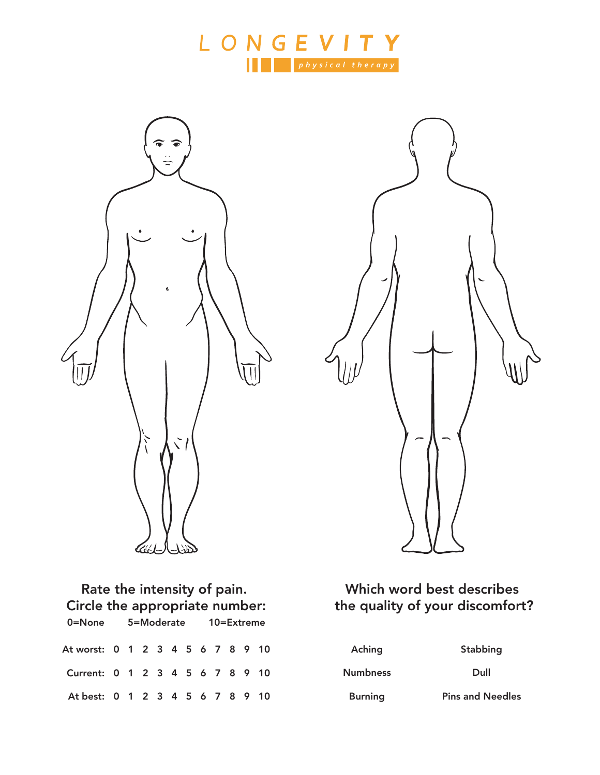





# Rate the intensity of pain. Circle the appropriate number: 0=None 5=Moderate 10=Extreme 0 1 2 3 4 5 6 7 8 9 10 At worst: 0 1 2 3 4 5 6 7 8 9 10 Current:

0 1 2 3 4 5 6 7 8 9 10 At best:

### Which word best describes the quality of your discomfort?

| Aching   |  |
|----------|--|
| Numbness |  |
| Burning  |  |

Stabbing

Dull

Pins and Needles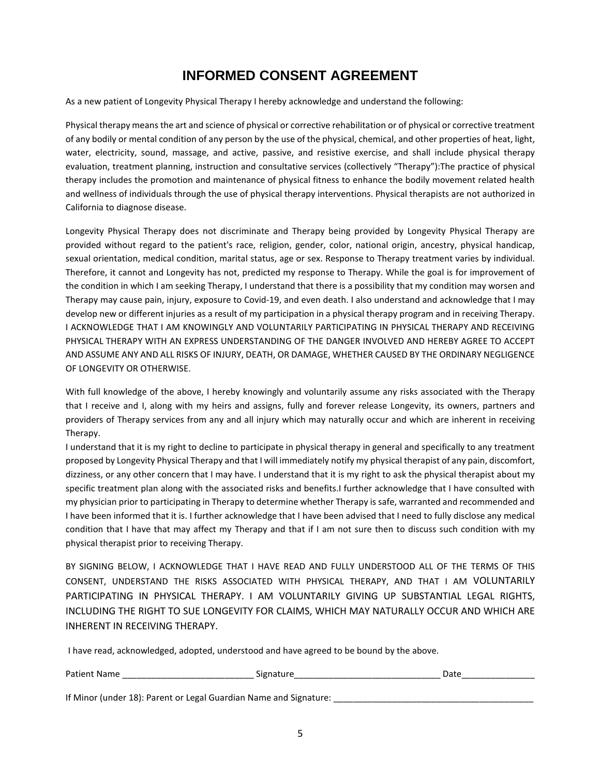### **INFORMED CONSENT AGREEMENT**

As a new patient of Longevity Physical Therapy I hereby acknowledge and understand the following:

Physical therapy means the art and science of physical or corrective rehabilitation or of physical or corrective treatment of any bodily or mental condition of any person by the use of the physical, chemical, and other properties of heat, light, water, electricity, sound, massage, and active, passive, and resistive exercise, and shall include physical therapy evaluation, treatment planning, instruction and consultative services (collectively "Therapy"):The practice of physical therapy includes the promotion and maintenance of physical fitness to enhance the bodily movement related health and wellness of individuals through the use of physical therapy interventions. Physical therapists are not authorized in California to diagnose disease.

Longevity Physical Therapy does not discriminate and Therapy being provided by Longevity Physical Therapy are provided without regard to the patient's race, religion, gender, color, national origin, ancestry, physical handicap, sexual orientation, medical condition, marital status, age or sex. Response to Therapy treatment varies by individual. Therefore, it cannot and Longevity has not, predicted my response to Therapy. While the goal is for improvement of the condition in which I am seeking Therapy, I understand that there is a possibility that my condition may worsen and Therapy may cause pain, injury, exposure to Covid-19, and even death. I also understand and acknowledge that I may develop new or different injuries as a result of my participation in a physical therapy program and in receiving Therapy. I ACKNOWLEDGE THAT I AM KNOWINGLY AND VOLUNTARILY PARTICIPATING IN PHYSICAL THERAPY AND RECEIVING PHYSICAL THERAPY WITH AN EXPRESS UNDERSTANDING OF THE DANGER INVOLVED AND HEREBY AGREE TO ACCEPT AND ASSUME ANY AND ALL RISKS OF INJURY, DEATH, OR DAMAGE, WHETHER CAUSED BY THE ORDINARY NEGLIGENCE OF LONGEVITY OR OTHERWISE.

With full knowledge of the above, I hereby knowingly and voluntarily assume any risks associated with the Therapy that I receive and I, along with my heirs and assigns, fully and forever release Longevity, its owners, partners and providers of Therapy services from any and all injury which may naturally occur and which are inherent in receiving Therapy.

I understand that it is my right to decline to participate in physical therapy in general and specifically to any treatment proposed by Longevity Physical Therapy and that I will immediately notify my physical therapist of any pain, discomfort, dizziness, or any other concern that I may have. I understand that it is my right to ask the physical therapist about my specific treatment plan along with the associated risks and benefits.I further acknowledge that I have consulted with my physician prior to participating in Therapy to determine whether Therapy is safe, warranted and recommended and I have been informed that it is. I further acknowledge that I have been advised that I need to fully disclose any medical condition that I have that may affect my Therapy and that if I am not sure then to discuss such condition with my physical therapist prior to receiving Therapy.

BY SIGNING BELOW, I ACKNOWLEDGE THAT I HAVE READ AND FULLY UNDERSTOOD ALL OF THE TERMS OF THIS CONSENT, UNDERSTAND THE RISKS ASSOCIATED WITH PHYSICAL THERAPY, AND THAT I AM VOLUNTARILY PARTICIPATING IN PHYSICAL THERAPY. I AM VOLUNTARILY GIVING UP SUBSTANTIAL LEGAL RIGHTS, INCLUDING THE RIGHT TO SUE LONGEVITY FOR CLAIMS, WHICH MAY NATURALLY OCCUR AND WHICH ARE INHERENT IN RECEIVING THERAPY.

I have read, acknowledged, adopted, understood and have agreed to be bound by the above.

| Patien<br>.<br>Name<br>היה<br>______ | --<br>9اد.<br>. . | - |
|--------------------------------------|-------------------|---|
|                                      |                   |   |

If Minor (under 18): Parent or Legal Guardian Name and Signature: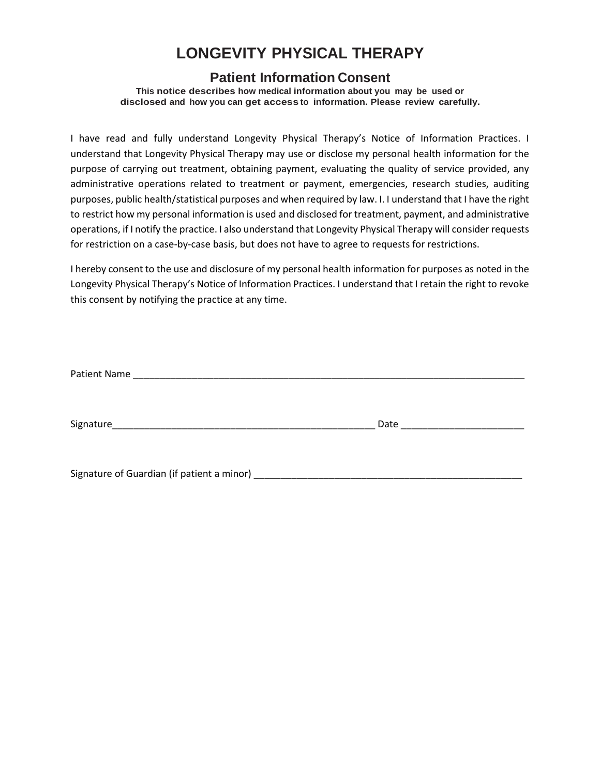## **LONGEVITY PHYSICAL THERAPY**

#### **Patient Information Consent**

**This notice describes how medical information about you may be used or disclosed and how you can get access to information. Please review carefully.**

I have read and fully understand Longevity Physical Therapy's Notice of Information Practices. I understand that Longevity Physical Therapy may use or disclose my personal health information for the purpose of carrying out treatment, obtaining payment, evaluating the quality of service provided, any administrative operations related to treatment or payment, emergencies, research studies, auditing purposes, public health/statistical purposes and when required by law. I. I understand that I have the right to restrict how my personal information is used and disclosed for treatment, payment, and administrative operations, if I notify the practice. I also understand that Longevity Physical Therapy will consider requests for restriction on a case-by-case basis, but does not have to agree to requests for restrictions.

I hereby consent to the use and disclosure of my personal health information for purposes as noted in the Longevity Physical Therapy's Notice of Information Practices. I understand that I retain the right to revoke this consent by notifying the practice at any time.

| Patient Name |      |  |
|--------------|------|--|
|              |      |  |
|              |      |  |
| Signature    | Date |  |
|              |      |  |
|              |      |  |

Signature of Guardian (if patient a minor) \_\_\_\_\_\_\_\_\_\_\_\_\_\_\_\_\_\_\_\_\_\_\_\_\_\_\_\_\_\_\_\_\_\_\_\_\_\_\_\_\_\_\_\_\_\_\_\_\_\_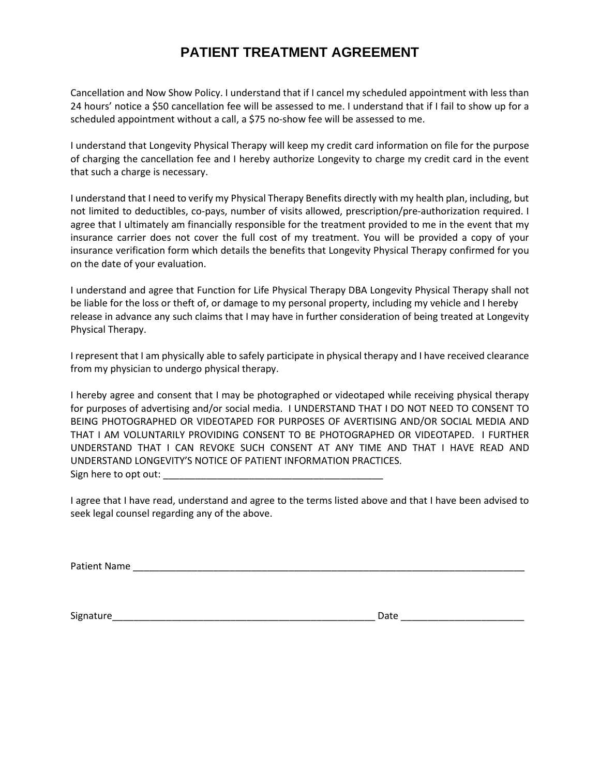### **PATIENT TREATMENT AGREEMENT**

Cancellation and Now Show Policy. I understand that if I cancel my scheduled appointment with less than 24 hours' notice a \$50 cancellation fee will be assessed to me. I understand that if I fail to show up for a scheduled appointment without a call, a \$75 no-show fee will be assessed to me.

I understand that Longevity Physical Therapy will keep my credit card information on file for the purpose of charging the cancellation fee and I hereby authorize Longevity to charge my credit card in the event that such a charge is necessary.

I understand that I need to verify my Physical Therapy Benefits directly with my health plan, including, but not limited to deductibles, co-pays, number of visits allowed, prescription/pre-authorization required. I agree that I ultimately am financially responsible for the treatment provided to me in the event that my insurance carrier does not cover the full cost of my treatment. You will be provided a copy of your insurance verification form which details the benefits that Longevity Physical Therapy confirmed for you on the date of your evaluation.

I understand and agree that Function for Life Physical Therapy DBA Longevity Physical Therapy shall not be liable for the loss or theft of, or damage to my personal property, including my vehicle and I hereby release in advance any such claims that I may have in further consideration of being treated at Longevity Physical Therapy.

I represent that I am physically able to safely participate in physical therapy and I have received clearance from my physician to undergo physical therapy.

I hereby agree and consent that I may be photographed or videotaped while receiving physical therapy for purposes of advertising and/or social media. I UNDERSTAND THAT I DO NOT NEED TO CONSENT TO BEING PHOTOGRAPHED OR VIDEOTAPED FOR PURPOSES OF AVERTISING AND/OR SOCIAL MEDIA AND THAT I AM VOLUNTARILY PROVIDING CONSENT TO BE PHOTOGRAPHED OR VIDEOTAPED. I FURTHER UNDERSTAND THAT I CAN REVOKE SUCH CONSENT AT ANY TIME AND THAT I HAVE READ AND UNDERSTAND LONGEVITY'S NOTICE OF PATIENT INFORMATION PRACTICES. Sign here to opt out:

I agree that I have read, understand and agree to the terms listed above and that I have been advised to seek legal counsel regarding any of the above.

Patient Name \_\_\_\_\_\_\_\_\_\_\_\_\_\_\_\_\_\_\_\_\_\_\_\_\_\_\_\_\_\_\_\_\_\_\_\_\_\_\_\_\_\_\_\_\_\_\_\_\_\_\_\_\_\_\_\_\_\_\_\_\_\_\_\_\_\_\_\_\_\_\_\_\_

Signature\_\_\_\_\_\_\_\_\_\_\_\_\_\_\_\_\_\_\_\_\_\_\_\_\_\_\_\_\_\_\_\_\_\_\_\_\_\_\_\_\_\_\_\_\_\_\_\_\_ Date \_\_\_\_\_\_\_\_\_\_\_\_\_\_\_\_\_\_\_\_\_\_\_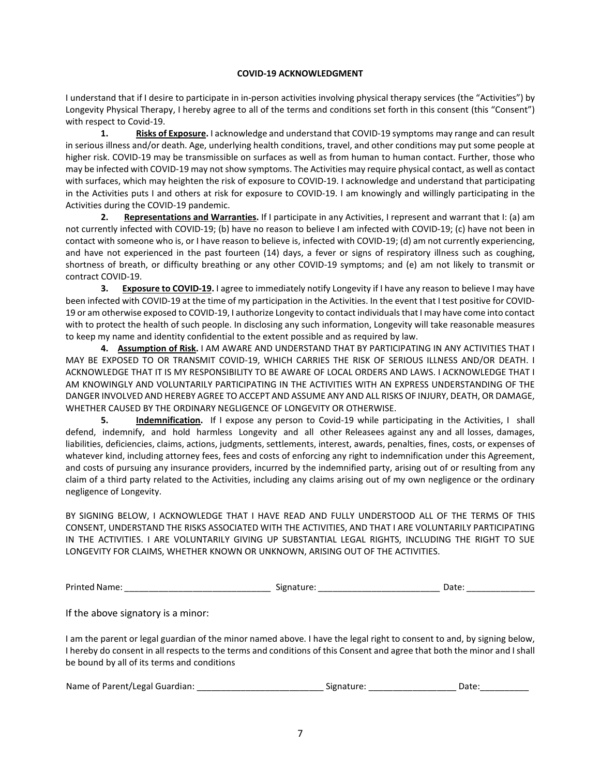#### **COVID-19 ACKNOWLEDGMENT**

I understand that if I desire to participate in in-person activities involving physical therapy services (the "Activities") by Longevity Physical Therapy, I hereby agree to all of the terms and conditions set forth in this consent (this "Consent") with respect to Covid-19.

**1. Risks of Exposure.** I acknowledge and understand that COVID-19 symptoms may range and can result in serious illness and/or death. Age, underlying health conditions, travel, and other conditions may put some people at higher risk. COVID-19 may be transmissible on surfaces as well as from human to human contact. Further, those who may be infected with COVID-19 may not show symptoms. The Activities may require physical contact, as well as contact with surfaces, which may heighten the risk of exposure to COVID-19. I acknowledge and understand that participating in the Activities puts I and others at risk for exposure to COVID-19. I am knowingly and willingly participating in the Activities during the COVID-19 pandemic.

**2. Representations and Warranties.** If I participate in any Activities, I represent and warrant that I: (a) am not currently infected with COVID-19; (b) have no reason to believe I am infected with COVID-19; (c) have not been in contact with someone who is, or I have reason to believe is, infected with COVID-19; (d) am not currently experiencing, and have not experienced in the past fourteen (14) days, a fever or signs of respiratory illness such as coughing, shortness of breath, or difficulty breathing or any other COVID-19 symptoms; and (e) am not likely to transmit or contract COVID-19.

**3. Exposure to COVID-19.** I agree to immediately notify Longevity if I have any reason to believe I may have been infected with COVID-19 at the time of my participation in the Activities. In the event that I test positive for COVID-19 or am otherwise exposed to COVID-19, I authorize Longevity to contact individuals that I may have come into contact with to protect the health of such people. In disclosing any such information, Longevity will take reasonable measures to keep my name and identity confidential to the extent possible and as required by law.

**4. Assumption of Risk.** I AM AWARE AND UNDERSTAND THAT BY PARTICIPATING IN ANY ACTIVITIES THAT I MAY BE EXPOSED TO OR TRANSMIT COVID-19, WHICH CARRIES THE RISK OF SERIOUS ILLNESS AND/OR DEATH. I ACKNOWLEDGE THAT IT IS MY RESPONSIBILITY TO BE AWARE OF LOCAL ORDERS AND LAWS. I ACKNOWLEDGE THAT I AM KNOWINGLY AND VOLUNTARILY PARTICIPATING IN THE ACTIVITIES WITH AN EXPRESS UNDERSTANDING OF THE DANGER INVOLVED AND HEREBY AGREE TO ACCEPT AND ASSUME ANY AND ALL RISKS OF INJURY, DEATH, OR DAMAGE, WHETHER CAUSED BY THE ORDINARY NEGLIGENCE OF LONGEVITY OR OTHERWISE.

**5. Indemnification.** If I expose any person to Covid-19 while participating in the Activities, I shall defend, indemnify, and hold harmless Longevity and all other Releasees against any and all losses, damages, liabilities, deficiencies, claims, actions, judgments, settlements, interest, awards, penalties, fines, costs, or expenses of whatever kind, including attorney fees, fees and costs of enforcing any right to indemnification under this Agreement, and costs of pursuing any insurance providers, incurred by the indemnified party, arising out of or resulting from any claim of a third party related to the Activities, including any claims arising out of my own negligence or the ordinary negligence of Longevity.

BY SIGNING BELOW, I ACKNOWLEDGE THAT I HAVE READ AND FULLY UNDERSTOOD ALL OF THE TERMS OF THIS CONSENT, UNDERSTAND THE RISKS ASSOCIATED WITH THE ACTIVITIES, AND THAT I ARE VOLUNTARILY PARTICIPATING IN THE ACTIVITIES. I ARE VOLUNTARILY GIVING UP SUBSTANTIAL LEGAL RIGHTS, INCLUDING THE RIGHT TO SUE LONGEVITY FOR CLAIMS, WHETHER KNOWN OR UNKNOWN, ARISING OUT OF THE ACTIVITIES.

| <b>Printed Name:</b> | ------<br>Signature:<br>. . | Date |
|----------------------|-----------------------------|------|
|----------------------|-----------------------------|------|

If the above signatory is a minor:

I am the parent or legal guardian of the minor named above. I have the legal right to consent to and, by signing below, I hereby do consent in all respects to the terms and conditions of this Consent and agree that both the minor and I shall be bound by all of its terms and conditions

| Name of Parent/Legal Guardian: | Signature: |  |
|--------------------------------|------------|--|
|--------------------------------|------------|--|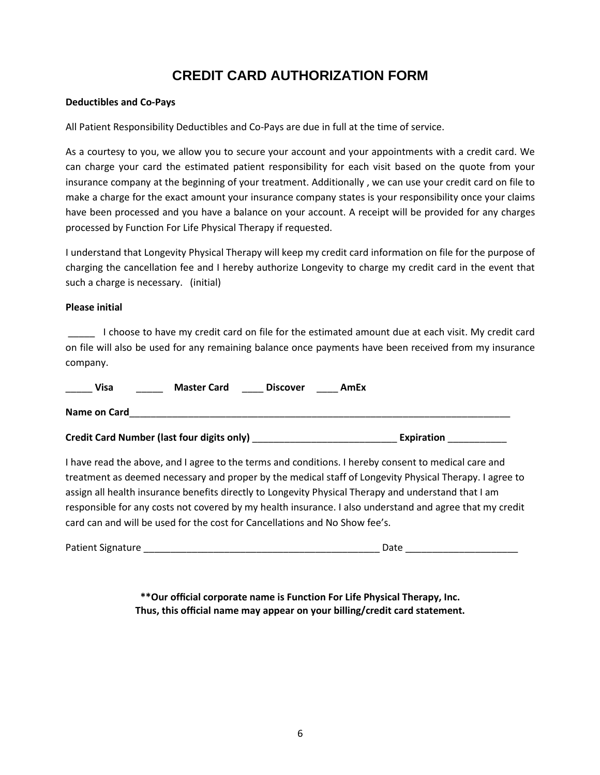### **CREDIT CARD AUTHORIZATION FORM**

#### **Deductibles and Co-Pays**

All Patient Responsibility Deductibles and Co-Pays are due in full at the time of service.

As a courtesy to you, we allow you to secure your account and your appointments with a credit card. We can charge your card the estimated patient responsibility for each visit based on the quote from your insurance company at the beginning of your treatment. Additionally , we can use your credit card on file to make a charge for the exact amount your insurance company states is your responsibility once your claims have been processed and you have a balance on your account. A receipt will be provided for any charges processed by Function For Life Physical Therapy if requested.

I understand that Longevity Physical Therapy will keep my credit card information on file for the purpose of charging the cancellation fee and I hereby authorize Longevity to charge my credit card in the event that such a charge is necessary. (initial)

#### **Please initial**

\_\_\_\_\_ I choose to have my credit card on file for the estimated amount due at each visit. My credit card on file will also be used for any remaining balance once payments have been received from my insurance company.

|--|

**Name on Card**\_\_\_\_\_\_\_\_\_\_\_\_\_\_\_\_\_\_\_\_\_\_\_\_\_\_\_\_\_\_\_\_\_\_\_\_\_\_\_\_\_\_\_\_\_\_\_\_\_\_\_\_\_\_\_\_\_\_\_\_\_\_\_\_\_\_\_\_\_\_\_

**Credit Card Number (last four digits only)** \_\_\_\_\_\_\_\_\_\_\_\_\_\_\_\_\_\_\_\_\_\_\_\_\_\_\_ **Expiration** \_\_\_\_\_\_\_\_\_\_\_

I have read the above, and I agree to the terms and conditions. I hereby consent to medical care and treatment as deemed necessary and proper by the medical staff of Longevity Physical Therapy. I agree to assign all health insurance benefits directly to Longevity Physical Therapy and understand that I am responsible for any costs not covered by my health insurance. I also understand and agree that my credit card can and will be used for the cost for Cancellations and No Show fee's.

Patient Signature \_\_\_\_\_\_\_\_\_\_\_\_\_\_\_\_\_\_\_\_\_\_\_\_\_\_\_\_\_\_\_\_\_\_\_\_\_\_\_\_\_\_\_\_ Date \_\_\_\_\_\_\_\_\_\_\_\_\_\_\_\_\_\_\_\_\_

**\*\*Our official corporate name is Function For Life Physical Therapy, Inc. Thus, this official name may appear on your billing/credit card statement.**